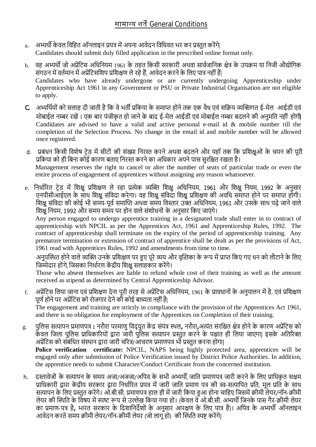- a. अभ्यर्थी केवल विहित ऑनलाइन प्रपत्र में अपना आवेदन विधिवत भर कर प्रस्तत करेंगे| Candidates should submit duly filled application in the prescribed online format only.
- b. वह अभ्यर्थी जो अप्रेंटिस अधिनियम 1961 के तहत किसी सरकारी अथवा सार्वजानिक क्षेत्र के उपक्रम या निजी औद्योगिक संगठन में वर्तमान में अप्रेंटिसशिप प्रशिक्षण ले रहे हैं. आवेदन करने के लिए पात्र नहीं हैं। Candidates who have already undergone or are currently undergoing Apprenticeship under Apprenticeship Act 1961 in any Government or PSU or Private Industrial Organisation are not eligible to apply.
- C. अभ्यर्थियों को सलाह दी जाती है कि वे भर्ती प्रकिया के समाप्त होने तक एक वैध एवं सक्रिय व्यक्तिगत ई-मेल आईडी एवं मोबाईल नम्बर रखें । एक बार पंजीकृत हो जाने के बाद ई-मेल आईडी एवं मोबाईल नम्बर बदलने की अनुमति नहीं होगी Candidates are advised to have a valid and active personal e-mail id & mobile number till the completion of the Selection Process. No change in the email id and mobile number will be allowed once registered.
- d. प्रबंधन किसी विशेष टेड में सीटों की संख्या निरस्त करने अथवा बदलने और यहॉ तक कि प्रशिक्षुओं के चयन की पूरी प्रकिया को ही बिना कोई कारण बताए निरस्त करने का अधिकार अपने पास सुरक्षित रखता है। Management reserves the right to cancel or alter the number of seats of particular trade or even the entire process of engagement of apprentices without assigning any reason whatsoever.
- e. निर्धारित टेड में शिक्ष प्रशिक्षण ले रहा प्रत्येक व्यक्ति शिक्ष अधिनियम, 1961 और शिक्ष नियम, 1992 के अनुसार एनपीसीआईएल के साथ शिक्षु संविदा करेगा। वह शिक्षु संविदा शिक्षु प्रशिक्षण की अवधि समाप्त होने पर समाप्त होंगी। शिक्षु संविदा की कोई भी समय-पूर्व समाप्ति अथवा समय विस्तार उक्त अधिनियम, 1961 और उसके साथ पढ़े जाने वाले शिक्षु नियम, 1992 और समय समय पर होन वाले संशोधनों के अनुसार किए जाएंगे।

Any person engaged to undergo apprentice training in a designated trade shall enter in to contract of apprenticeship with NPCIL as per the Apprentices Act, 1961 and Apprenticeship Rules, 1992. The contract of apprenticeship shall terminate on the expiry of the period of apprenticeship training. Any premature termination or extension of contract of apprentice shall be dealt as per the provisions of Act, 1961 read with Apprentices Rules, 1992 and amendments from time to time.

अनुपस्थित होने वाले व्यक्ति उनके प्रशिक्षण पर हुए पूरे व्यय और वृत्तिका के रूप में प्राप्त किए गए धन को लौटाने के लिए जिम्मेदार होंगे, जिसका निर्धारण केंद्रीय शिक्ष सलाहकार करेंगे।

Those who absent themselves are liable to refund whole cost of their training as well as the amount received as stipend as determined by Central Apprenticeship Advisor.

- f. अप्रेंटिस लिया जाना एवं प्रशिक्षण देना पूरी तरह से अप्रेंटिस अधिनियम, 1961 के प्रावधानों के अनुपालन में है, एवं प्रशिक्षण पूर्ण होने पर अप्रेंटिस को रोजगार देने को कोई बाध्यता नहीं है| The engagement and training are strictly in compliance with the provision of the Apprentices Act 1961, and there is no obligation for employment of the Apprentices on Completion of their training.
- g. पुलिस सत्यापन प्रमाणपत्र : नरौरा परमाणु विदुयुत केंद्र संयंत्र स्थल, नरौरा,अत्यंत संरक्षित क्षेत्र होने के कारण अप्रेंटिस को उल्लेख के बारा बारा बारा बारा छोटा है। उनके बारा बारा करने के पश्चात ही लिया जाएगा| इसके अतिरिक्त अप्रेंटिस को संबंधित संस्थान द्वारा जारी चरित्र/आचरण प्रमाणपत्र भी प्रस्तुत करना होगा| **Police verification certificate:** NPCIL, NAPS being highly protected area, apprentices will be engaged only after submission of Police Verification issued by District Police Authorities. In addition, the apprentice needs to submit Character/Conduct Certificate from the concerned institution.
- h. दस्तावेजों के सत्यापन के समय अजा/अजजा/अपिव के सभी अभ्यर्थी, जाति प्रमाणपत्र जारी करने के लिए प्राधिकृत सक्षम प्राधिकारी द्वारा केंद्रीय सरकार द्वारा निर्धारित प्रपत्र में जारी जाति प्रमाण पत्र की स्व-सत्यापित प्रति, मूल प्रति के साथ सत्यापन के लिए प्रस्तुत करेंगे। ओ.बी.सी. प्रमाणपत्र हाल ही में जारी किया हुआ होना चाहिए जिसमें क्रीमी लेयर/नॉन-क्रीमी लेयर की स्थिति के विषय में स्पष्ट रूप से उल्लेख किया गया हो। (केवल वे ओ.बी.सी. अभ्यर्थी जिनके पास गैर-क्रीमी लेयर ..................<br>का प्रमाण-पत्र है, भारत सरकार के दिशानिर्देशों के अनुसार आरक्षण के लिए पात्र हैं)। अपिव के अभ्यर्थी ऑनलाइन आवेदन करते समय क्रीमी लेयर/नॉन-क्रीमी लेयर (जो लागू हो) की स्थिति स्पष्ट करेंगे|